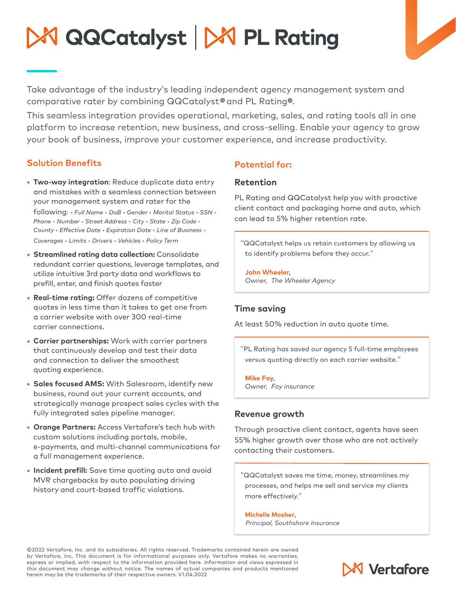# K QQCatalyst | X PL Rating

Take advantage of the industry's leading independent agency management system and comparative rater by combining QQCatalyst® and PL Rating®.

This seamless integration provides operational, marketing, sales, and rating tools all in one platform to increase retention, new business, and cross-selling. Enable your agency to grow your book of business, improve your customer experience, and increase productivity.

#### **Solution Benefits**

- **• Two-way integration**: Reduce duplicate data entry and mistakes with a seamless connection between your management system and rater for the following: *• Full Name • DoB • Gender • Marital Status • SSN • Phone • Number • Street Address • City • State • Zip Code • County • Effective Date • Expiration Date • Line of Business • Coverages • Limits • Drivers • Vehicles • Policy Term*
- **• Streamlined rating data collection:** Consolidate redundant carrier questions, leverage templates, and utilize intuitive 3rd party data and workflows to prefill, enter, and finish quotes faster
- **• Real-time rating:** Offer dozens of competitive quotes in less time than it takes to get one from a carrier website with over 300 real-time carrier connections.
- **• Carrier partnerships:** Work with carrier partners that continuously develop and test their data and connection to deliver the smoothest quoting experience.
- **• Sales focused AMS:** With Salesroom, identify new business, round out your current accounts, and strategically manage prospect sales cycles with the fully integrated sales pipeline manager.
- **• Orange Partners:** Access Vertafore's tech hub with custom solutions including portals, mobile, e-payments, and multi-channel communications for a full management experience.
- **• Incident prefill:** Save time quoting auto and avoid MVR chargebacks by auto populating driving history and court-based traffic violations.

## **Potential for:**

#### **Retention**

PL Rating and QQCatalyst help you with proactive client contact and packaging home and auto, which can lead to 5% higher retention rate.

"QQCatalyst helps us retain customers by allowing us to identify problems before they occur."

**John Wheeler,** *Owner, The Wheeler Agency*

#### **Time saving**

At least 50% reduction in auto quote time.

"PL Rating has saved our agency 5 full-time employees versus quoting directly on each carrier website."

**Mike Foy,** *Owner, Foy insurance*

#### **Revenue growth**

Through proactive client contact, agents have seen 55% higher growth over those who are not actively contacting their customers.

"QQCatalyst saves me time, money, streamlines my processes, and helps me sell and service my clients more effectively."

**Michelle Mosher,** *Principal, Southshore Insurance*

©2022 Vertafore, Inc. and its subsidiaries. All rights reserved. Trademarks contained herein are owned by Vertafore, Inc. This document is for informational purposes only. Vertafore makes no warranties, express or implied, with respect to the information provided here. Information and views expressed in this document may change without notice. The names of actual companies and products mentioned herein may be the trademarks of their respective owners. V1.04.2022